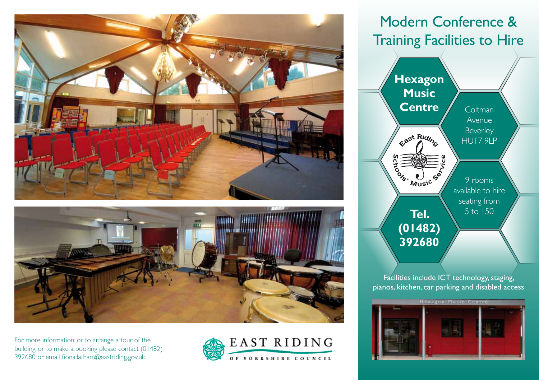



For more information, or to arrange a tour of the building, or to make a booking please contact (01482) 392680 or email fiona.latham@eastriding.gov.uk



## Modern Conference & Training Facilities to Hire



Facilities include ICT technology, staging, pianos, kitchen, car parking and disabled access